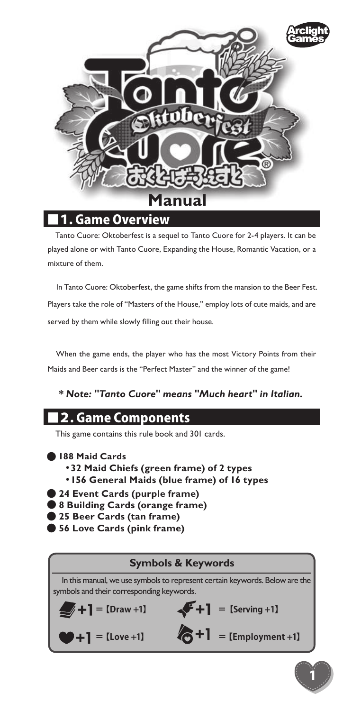

### **Game Overview**

Tanto Cuore: Oktoberfest is a sequel to Tanto Cuore for 2-4 players. It can be played alone or with Tanto Cuore, Expanding the House, Romantic Vacation, or a mixture of them.

In Tanto Cuore: Oktoberfest, the game shifts from the mansion to the Beer Fest. Players take the role of "Masters of the House," employ lots of cute maids, and are served by them while slowly filling out their house.

When the game ends, the player who has the most Victory Points from their Maids and Beer cards is the "Perfect Master" and the winner of the game!

### *\* Note: "Tanto Cuore" means "Much heart" in Italian.*

## ■2. Game Components

This game contains this rule book and 301 cards.

- **188 Maid Cards**
	- ・**32 Maid Chiefs (green frame) of 2 types**
	- ・**156 General Maids (blue frame) of 16 types**
- **24 Event Cards (purple frame)**
- 8 Building Cards (orange frame)
- **25 Beer Cards (tan frame)**
- **56 Love Cards (pink frame)**

#### **Symbols & Keywords**

In this manual, we use symbols to represent certain keywords. Below are the symbols and their corresponding keywords.

 $\leftarrow +1$  = [Serving +1]

1

$$
\blacktriangleright
$$
 + 1 = [Draw +1]

 $\left| \begin{array}{cc} 1 \end{array} \right| = \text{[Love +1]}$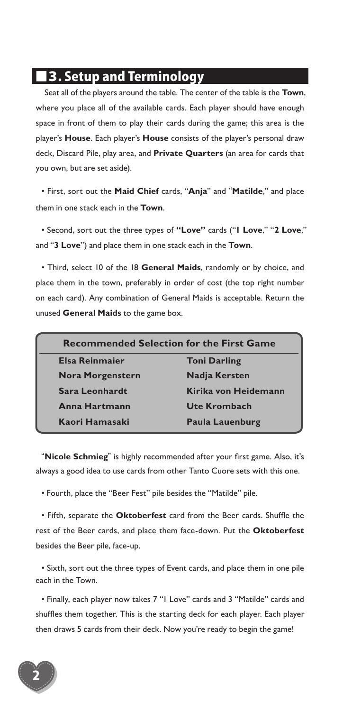## ■3. Setup and Terminology

Seat all of the players around the table. The center of the table is the **Town**, where you place all of the available cards. Each player should have enough space in front of them to play their cards during the game; this area is the player's **House**. Each player's **House** consists of the player's personal draw deck, Discard Pile, play area, and **Private Quarters** (an area for cards that you own, but are set aside).

• First, sort out the **Maid Chief** cards, "**Anja**" and "**Matilde**," and place them in one stack each in the **Town**.

• Second, sort out the three types of **"Love"** cards ("**1 Love**," "**2 Love**," and "**3 Love**") and place them in one stack each in the **Town**.

• Third, select 10 of the 18 **General Maids**, randomly or by choice, and place them in the town, preferably in order of cost (the top right number on each card). Any combination of General Maids is acceptable. Return the unused **General Maids** to the game box.

| <b>Recommended Selection for the First Game</b> |                        |  |
|-------------------------------------------------|------------------------|--|
| <b>Elsa Reinmaier</b>                           | <b>Toni Darling</b>    |  |
| <b>Nora Morgenstern</b>                         | <b>Nadja Kersten</b>   |  |
| Sara Leonhardt                                  | Kirika von Heidemann   |  |
| Anna Hartmann                                   | <b>Ute Krombach</b>    |  |
| Kaori Hamasaki                                  | <b>Paula Lauenburg</b> |  |

"**Nicole Schmieg**" is highly recommended after your first game. Also, it's always a good idea to use cards from other Tanto Cuore sets with this one.

• Fourth, place the "Beer Fest" pile besides the "Matilde" pile.

• Fifth, separate the **Oktoberfest** card from the Beer cards. Shuffle the rest of the Beer cards, and place them face-down. Put the **Oktoberfest** besides the Beer pile, face-up.

• Sixth, sort out the three types of Event cards, and place them in one pile each in the Town.

• Finally, each player now takes 7 "1 Love" cards and 3 "Matilde" cards and shuffles them together. This is the starting deck for each player. Each player then draws 5 cards from their deck. Now you're ready to begin the game!

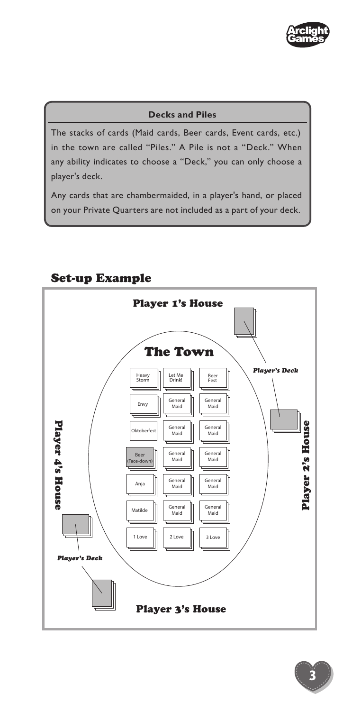

#### **Decks and Piles**

The stacks of cards (Maid cards, Beer cards, Event cards, etc.) in the town are called "Piles." A Pile is not a "Deck." When any ability indicates to choose a "Deck," you can only choose a player's deck.

Any cards that are chambermaided, in a player's hand, or placed on your Private Quarters are not included as a part of your deck.



#### Set-up Example

3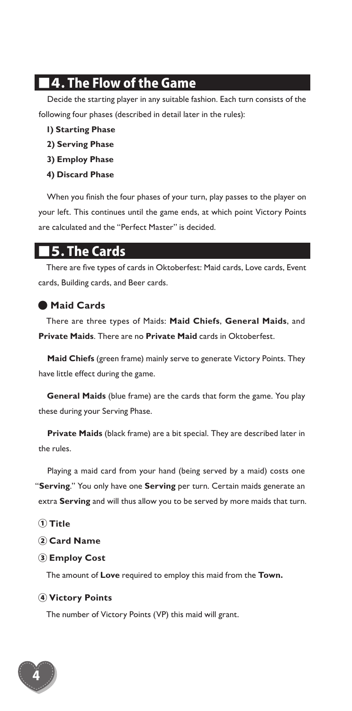## ■4. The Flow of the Game

Decide the starting player in any suitable fashion. Each turn consists of the following four phases (described in detail later in the rules):

- **1) Starting Phase**
- **2) Serving Phase**
- **3) Employ Phase**
- **4) Discard Phase**

When you finish the four phases of your turn, play passes to the player on your left. This continues until the game ends, at which point Victory Points are calculated and the "Perfect Master" is decided.

## ■5. The Cards

There are five types of cards in Oktoberfest: Maid cards, Love cards, Event cards, Building cards, and Beer cards.

#### ● **Maid Cards**

There are three types of Maids: **Maid Chiefs**, **General Maids**, and **Private Maids**. There are no **Private Maid** cards in Oktoberfest.

**Maid Chiefs** (green frame) mainly serve to generate Victory Points. They have little effect during the game.

**General Maids** (blue frame) are the cards that form the game. You play these during your Serving Phase.

**Private Maids** (black frame) are a bit special. They are described later in the rules.

Playing a maid card from your hand (being served by a maid) costs one "**Serving**." You only have one **Serving** per turn. Certain maids generate an extra **Serving** and will thus allow you to be served by more maids that turn.

- ① **Title**
- ② **Card Name**
- ③ **Employ Cost**

The amount of **Love** required to employ this maid from the **Town.**

#### ④ **Victory Points**

The number of Victory Points (VP) this maid will grant.

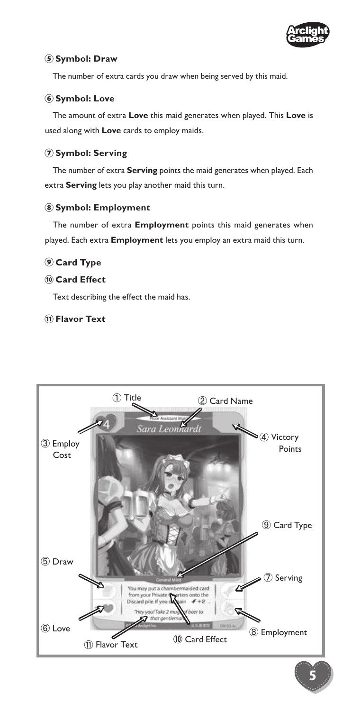

#### **Symbol: Draw**

The number of extra cards you draw when being served by this maid.

#### **Symbol: Love**

The amount of extra **Love** this maid generates when played. This **Love** is used along with **Love** cards to employ maids.

#### **Symbol: Serving**

The number of extra **Serving** points the maid generates when played. Each extra **Serving** lets you play another maid this turn.

#### **Symbol: Employment**

The number of extra **Employment** points this maid generates when played. Each extra **Employment** lets you employ an extra maid this turn.

#### **Card Type**

#### **Card Effect**

Text describing the effect the maid has.

#### **Flavor Text**



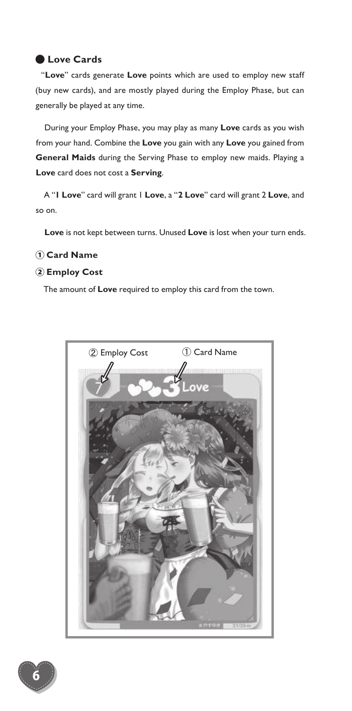#### ● **Love Cards**

"**Love**" cards generate **Love** points which are used to employ new staff (buy new cards), and are mostly played during the Employ Phase, but can generally be played at any time.

During your Employ Phase, you may play as many **Love** cards as you wish from your hand. Combine the **Love** you gain with any **Love** you gained from **General Maids** during the Serving Phase to employ new maids. Playing a **Love** card does not cost a **Serving**.

A "**1 Love**" card will grant 1 **Love**, a "**2 Love**" card will grant 2 **Love**, and so on.

**Love** is not kept between turns. Unused **Love** is lost when your turn ends.

#### ① **Card Name**

#### ② **Employ Cost**

The amount of **Love** required to employ this card from the town.



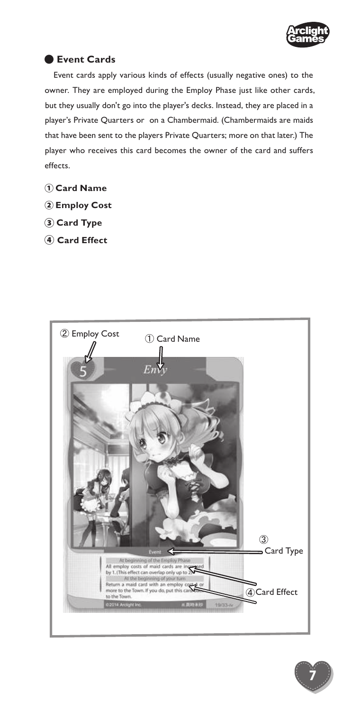

7

#### ● **Event Cards**

Event cards apply various kinds of effects (usually negative ones) to the owner. They are employed during the Employ Phase just like other cards, but they usually don't go into the player's decks. Instead, they are placed in a player's Private Quarters or on a Chambermaid. (Chambermaids are maids that have been sent to the players Private Quarters; more on that later.) The player who receives this card becomes the owner of the card and suffers effects.

- ① **Card Name**
- ② **Employ Cost**
- ③ **Card Type**
- ④ **Card Effect**

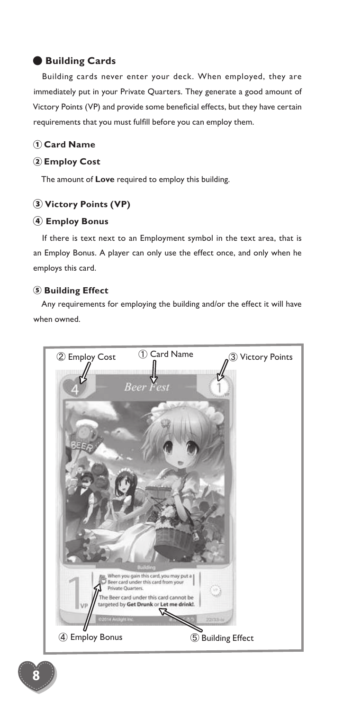#### ● **Building Cards**

Building cards never enter your deck. When employed, they are immediately put in your Private Quarters. They generate a good amount of Victory Points (VP) and provide some beneficial effects, but they have certain requirements that you must fulfill before you can employ them.

#### ① **Card Name**

#### ② **Employ Cost**

The amount of **Love** required to employ this building.

#### ③ **Victory Points (VP)**

#### ④ **Employ Bonus**

If there is text next to an Employment symbol in the text area, that is an Employ Bonus. A player can only use the effect once, and only when he employs this card.

#### ⑤ **Building Effect**

Any requirements for employing the building and/or the effect it will have when owned.

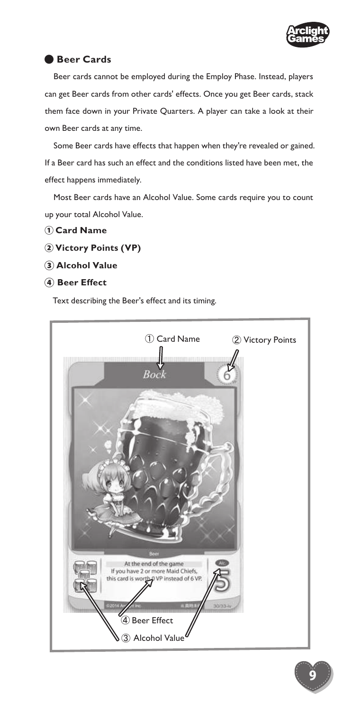

#### ● **Beer Cards**

Beer cards cannot be employed during the Employ Phase. Instead, players can get Beer cards from other cards' effects. Once you get Beer cards, stack them face down in your Private Quarters. A player can take a look at their own Beer cards at any time.

Some Beer cards have effects that happen when they're revealed or gained. If a Beer card has such an effect and the conditions listed have been met, the effect happens immediately.

Most Beer cards have an Alcohol Value. Some cards require you to count up your total Alcohol Value.

- ① **Card Name**
- ② **Victory Points (VP)**
- ③ **Alcohol Value**
- ④ **Beer Effect**

Text describing the Beer's effect and its timing.



9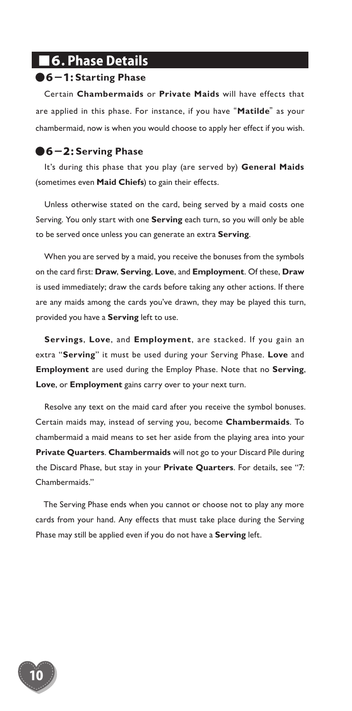## ■6. Phase Details

#### ●6-1: **Starting Phase**

Certain **Chambermaids** or **Private Maids** will have effects that are applied in this phase. For instance, if you have "**Matilde**" as your chambermaid, now is when you would choose to apply her effect if you wish.

#### ●6-2: **Serving Phase**

10

It's during this phase that you play (are served by) **General Maids**  (sometimes even **Maid Chiefs**) to gain their effects.

Unless otherwise stated on the card, being served by a maid costs one Serving. You only start with one **Serving** each turn, so you will only be able to be served once unless you can generate an extra **Serving**.

When you are served by a maid, you receive the bonuses from the symbols on the card first: **Draw**, **Serving**, **Love**, and **Employment**. Of these, **Draw** is used immediately; draw the cards before taking any other actions. If there are any maids among the cards you've drawn, they may be played this turn, provided you have a **Serving** left to use.

**Servings**, **Love**, and **Employment**, are stacked. If you gain an extra "**Serving**" it must be used during your Serving Phase. **Love** and **Employment** are used during the Employ Phase. Note that no **Serving**, **Love**, or **Employment** gains carry over to your next turn.

Resolve any text on the maid card after you receive the symbol bonuses. Certain maids may, instead of serving you, become **Chambermaids**. To chambermaid a maid means to set her aside from the playing area into your **Private Quarters**. **Chambermaids** will not go to your Discard Pile during the Discard Phase, but stay in your **Private Quarters**. For details, see "7: Chambermaids."

The Serving Phase ends when you cannot or choose not to play any more cards from your hand. Any effects that must take place during the Serving Phase may still be applied even if you do not have a **Serving** left.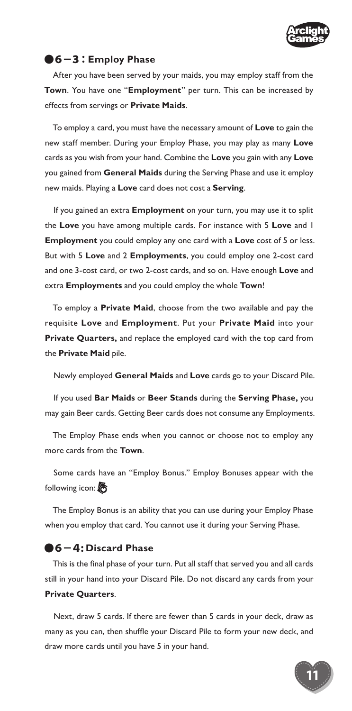

#### ●6-3: **Employ Phase**

After you have been served by your maids, you may employ staff from the **Town**. You have one "**Employment**" per turn. This can be increased by effects from servings or **Private Maids**.

To employ a card, you must have the necessary amount of **Love** to gain the new staff member. During your Employ Phase, you may play as many **Love** cards as you wish from your hand. Combine the **Love** you gain with any **Love** you gained from **General Maids** during the Serving Phase and use it employ new maids. Playing a **Love** card does not cost a **Serving**.

If you gained an extra **Employment** on your turn, you may use it to split the **Love** you have among multiple cards. For instance with 5 **Love** and 1 **Employment** you could employ any one card with a **Love** cost of 5 or less. But with 5 **Love** and 2 **Employments**, you could employ one 2-cost card and one 3-cost card, or two 2-cost cards, and so on. Have enough **Love** and extra **Employments** and you could employ the whole **Town**!

To employ a **Private Maid**, choose from the two available and pay the requisite **Love** and **Employment**. Put your **Private Maid** into your **Private Quarters,** and replace the employed card with the top card from the **Private Maid** pile.

Newly employed **General Maids** and **Love** cards go to your Discard Pile.

If you used **Bar Maids** or **Beer Stands** during the **Serving Phase,** you may gain Beer cards. Getting Beer cards does not consume any Employments.

The Employ Phase ends when you cannot or choose not to employ any more cards from the **Town**.

Some cards have an "Employ Bonus." Employ Bonuses appear with the following icon:

The Employ Bonus is an ability that you can use during your Employ Phase when you employ that card. You cannot use it during your Serving Phase.

#### ●6-4: **Discard Phase**

This is the final phase of your turn. Put all staff that served you and all cards still in your hand into your Discard Pile. Do not discard any cards from your **Private Quarters**.

Next, draw 5 cards. If there are fewer than 5 cards in your deck, draw as many as you can, then shuffle your Discard Pile to form your new deck, and draw more cards until you have 5 in your hand.

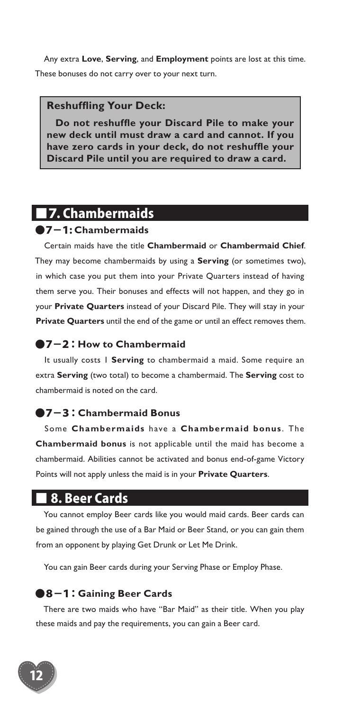Any extra **Love**, **Serving**, and **Employment** points are lost at this time. These bonuses do not carry over to your next turn.

#### **Reshuffling Your Deck:**

**Do not reshuffle your Discard Pile to make your new deck until must draw a card and cannot. If you have zero cards in your deck, do not reshuffle your Discard Pile until you are required to draw a card.**

## ■7. Chambermaids

#### ●7-1: **Chambermaids**

Certain maids have the title **Chambermaid** or **Chambermaid Chief**. They may become chambermaids by using a **Serving** (or sometimes two), in which case you put them into your Private Quarters instead of having them serve you. Their bonuses and effects will not happen, and they go in your **Private Quarters** instead of your Discard Pile. They will stay in your **Private Quarters** until the end of the game or until an effect removes them.

#### ●7-2: **How to Chambermaid**

It usually costs 1 **Serving** to chambermaid a maid. Some require an extra **Serving** (two total) to become a chambermaid. The **Serving** cost to chambermaid is noted on the card.

#### ●7-3: **Chambermaid Bonus**

Some **Chambermaids** have a **Chambermaid bonus** . The **Chambermaid bonus** is not applicable until the maid has become a chambermaid. Abilities cannot be activated and bonus end-of-game Victory Points will not apply unless the maid is in your **Private Quarters**.

### ■ 8. Beer Cards

You cannot employ Beer cards like you would maid cards. Beer cards can be gained through the use of a Bar Maid or Beer Stand, or you can gain them from an opponent by playing Get Drunk or Let Me Drink.

You can gain Beer cards during your Serving Phase or Employ Phase.

#### ●8-1: **Gaining Beer Cards**

There are two maids who have "Bar Maid" as their title. When you play these maids and pay the requirements, you can gain a Beer card.

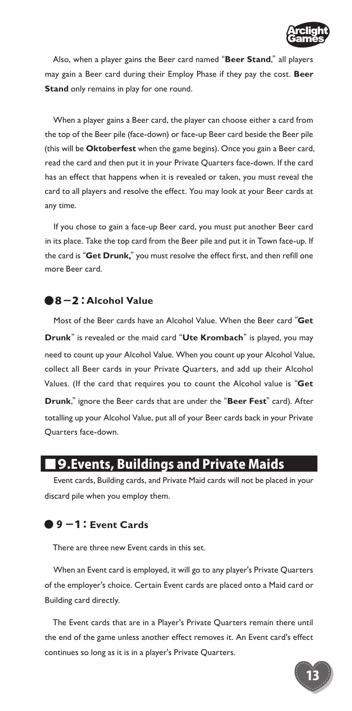

Also, when a player gains the Beer card named "**Beer Stand**," all players may gain a Beer card during their Employ Phase if they pay the cost. **Beer Stand** only remains in play for one round.

When a player gains a Beer card, the player can choose either a card from the top of the Beer pile (face-down) or face-up Beer card beside the Beer pile (this will be **Oktoberfest** when the game begins). Once you gain a Beer card, read the card and then put it in your Private Quarters face-down. If the card has an effect that happens when it is revealed or taken, you must reveal the card to all players and resolve the effect. You may look at your Beer cards at any time.

If you chose to gain a face-up Beer card, you must put another Beer card in its place. Take the top card from the Beer pile and put it in Town face-up. If the card is "**Get Drunk,**" you must resolve the effect first, and then refill one more Beer card.

#### ●8-2:**Alcohol Value**

Most of the Beer cards have an Alcohol Value. When the Beer card "**Get Drunk**" is revealed or the maid card "**Ute Krombach**" is played, you may need to count up your Alcohol Value. When you count up your Alcohol Value, collect all Beer cards in your Private Quarters, and add up their Alcohol Values. (If the card that requires you to count the Alcohol value is "**Get Drunk**," ignore the Beer cards that are under the "**Beer Fest**" card). After totalling up your Alcohol Value, put all of your Beer cards back in your Private Quarters face-down.

## ■9.Events, Buildings and Private Maids

Event cards, Building cards, and Private Maid cards will not be placed in your discard pile when you employ them.

#### ● 9 -1:**Event Cards**

There are three new Event cards in this set.

When an Event card is employed, it will go to any player's Private Quarters of the employer's choice. Certain Event cards are placed onto a Maid card or Building card directly.

The Event cards that are in a Player's Private Quarters remain there until the end of the game unless another effect removes it. An Event card's effect continues so long as it is in a player's Private Quarters.

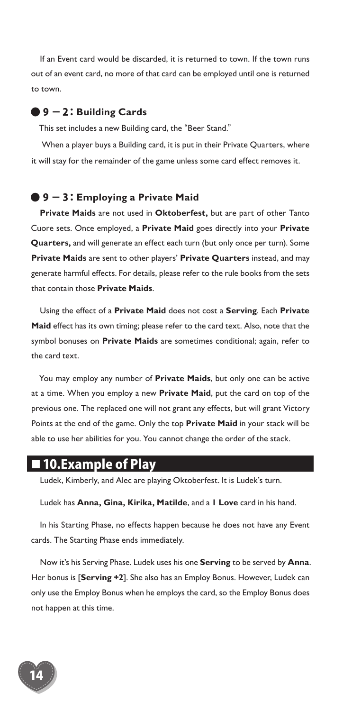If an Event card would be discarded, it is returned to town. If the town runs out of an event card, no more of that card can be employed until one is returned to town.

#### ● 9 - 2: **Building Cards**

This set includes a new Building card, the "Beer Stand."

 When a player buys a Building card, it is put in their Private Quarters, where it will stay for the remainder of the game unless some card effect removes it.

#### ● 9 - 3: **Employing a Private Maid**

**Private Maids** are not used in **Oktoberfest,** but are part of other Tanto Cuore sets. Once employed, a **Private Maid** goes directly into your **Private Quarters,** and will generate an effect each turn (but only once per turn). Some **Private Maids** are sent to other players' **Private Quarters** instead, and may generate harmful effects. For details, please refer to the rule books from the sets that contain those **Private Maids**.

Using the effect of a **Private Maid** does not cost a **Serving**. Each **Private Maid** effect has its own timing; please refer to the card text. Also, note that the symbol bonuses on **Private Maids** are sometimes conditional; again, refer to the card text.

You may employ any number of **Private Maids**, but only one can be active at a time. When you employ a new **Private Maid**, put the card on top of the previous one. The replaced one will not grant any effects, but will grant Victory Points at the end of the game. Only the top **Private Maid** in your stack will be able to use her abilities for you. You cannot change the order of the stack.

## ■ 10.Example of Play

Ludek, Kimberly, and Alec are playing Oktoberfest. It is Ludek's turn.

Ludek has **Anna, Gina, Kirika, Matilde**, and a **1 Love** card in his hand.

In his Starting Phase, no effects happen because he does not have any Event cards. The Starting Phase ends immediately.

Now it's his Serving Phase. Ludek uses his one **Serving** to be served by **Anna**. Her bonus is [**Serving +2**]. She also has an Employ Bonus. However, Ludek can only use the Employ Bonus when he employs the card, so the Employ Bonus does not happen at this time.

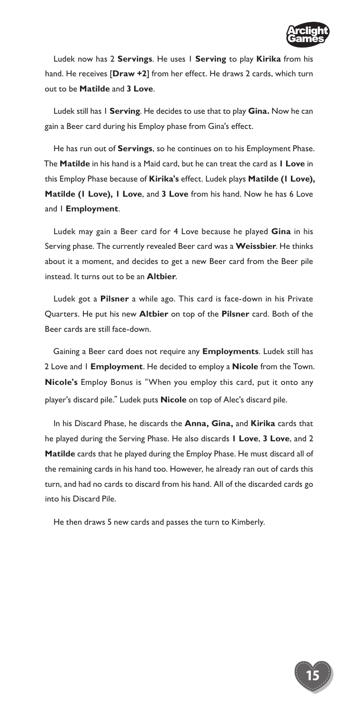

Ludek now has 2 **Servings**. He uses 1 **Serving** to play **Kirika** from his hand. He receives [**Draw +2**] from her effect. He draws 2 cards, which turn out to be **Matilde** and **3 Love**.

Ludek still has 1 **Serving**. He decides to use that to play **Gina.** Now he can gain a Beer card during his Employ phase from Gina's effect.

He has run out of **Servings**, so he continues on to his Employment Phase. The **Matilde** in his hand is a Maid card, but he can treat the card as **1 Love** in this Employ Phase because of **Kirika's** effect. Ludek plays **Matilde (1 Love), Matilde (1 Love), 1 Love**, and **3 Love** from his hand. Now he has 6 Love and 1 **Employment**.

Ludek may gain a Beer card for 4 Love because he played **Gina** in his Serving phase. The currently revealed Beer card was a **Weissbier**. He thinks about it a moment, and decides to get a new Beer card from the Beer pile instead. It turns out to be an **Altbier**.

Ludek got a **Pilsner** a while ago. This card is face-down in his Private Quarters. He put his new **Altbier** on top of the **Pilsner** card. Both of the Beer cards are still face-down.

Gaining a Beer card does not require any **Employments**. Ludek still has 2 Love and 1 **Employment**. He decided to employ a **Nicole** from the Town. **Nicole's** Employ Bonus is "When you employ this card, put it onto any player's discard pile." Ludek puts **Nicole** on top of Alec's discard pile.

In his Discard Phase, he discards the **Anna, Gina,** and **Kirika** cards that he played during the Serving Phase. He also discards **1 Love**, **3 Love**, and 2 **Matilde** cards that he played during the Employ Phase. He must discard all of the remaining cards in his hand too. However, he already ran out of cards this turn, and had no cards to discard from his hand. All of the discarded cards go into his Discard Pile.

He then draws 5 new cards and passes the turn to Kimberly.

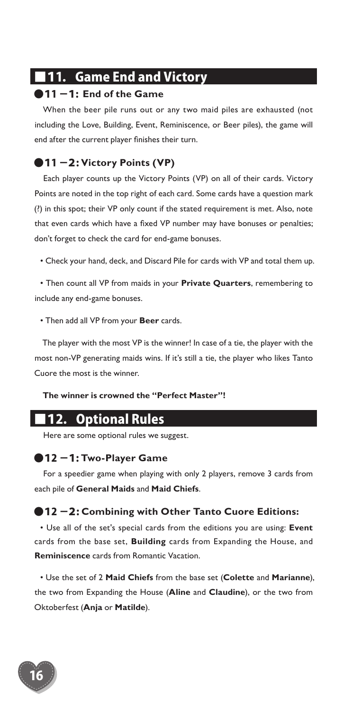## ■11. Game End and Victory

#### ●11 -1: **End of the Game**

When the beer pile runs out or any two maid piles are exhausted (not including the Love, Building, Event, Reminiscence, or Beer piles), the game will end after the current player finishes their turn.

#### ●11 -2: Victory Points (VP)

Each player counts up the Victory Points (VP) on all of their cards. Victory Points are noted in the top right of each card. Some cards have a question mark (?) in this spot; their VP only count if the stated requirement is met. Also, note that even cards which have a fixed VP number may have bonuses or penalties; don't forget to check the card for end-game bonuses.

• Check your hand, deck, and Discard Pile for cards with VP and total them up.

• Then count all VP from maids in your **Private Quarters**, remembering to include any end-game bonuses.

• Then add all VP from your **Beer** cards.

The player with the most VP is the winner! In case of a tie, the player with the most non-VP generating maids wins. If it's still a tie, the player who likes Tanto Cuore the most is the winner.

#### **The winner is crowned the "Perfect Master"!**

## ■12. Optional Rules

Here are some optional rules we suggest.

#### ●12 -1: **Two-Player Game**

For a speedier game when playing with only 2 players, remove 3 cards from each pile of **General Maids** and **Maid Chiefs**.

#### ●12 -2: **Combining with Other Tanto Cuore Editions:**

• Use all of the set's special cards from the editions you are using: **Event** cards from the base set, **Building** cards from Expanding the House, and **Reminiscence** cards from Romantic Vacation.

• Use the set of 2 **Maid Chiefs** from the base set (**Colette** and **Marianne**), the two from Expanding the House (**Aline** and **Claudine**), or the two from Oktoberfest (**Anja** or **Matilde**).

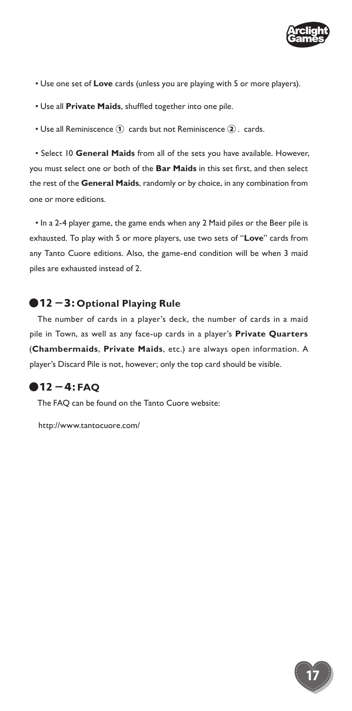

- Use one set of **Love** cards (unless you are playing with 5 or more players).
- Use all **Private Maids**, shuffled together into one pile.
- Use all Reminiscence ① cards but not Reminiscence ② . cards.

• Select 10 **General Maids** from all of the sets you have available. However, you must select one or both of the **Bar Maids** in this set first, and then select the rest of the **General Maids**, randomly or by choice, in any combination from one or more editions.

• In a 2-4 player game, the game ends when any 2 Maid piles or the Beer pile is exhausted. To play with 5 or more players, use two sets of "**Love**" cards from any Tanto Cuore editions. Also, the game-end condition will be when 3 maid piles are exhausted instead of 2.

#### ●12 -3: Optional Playing Rule

The number of cards in a player's deck, the number of cards in a maid pile in Town, as well as any face-up cards in a player's **Private Quarters** (**Chambermaids**, **Private Maids**, etc.) are always open information. A player's Discard Pile is not, however; only the top card should be visible.

#### ●12 -4: **FAQ**

The FAQ can be found on the Tanto Cuore website:

http://www.tantocuore.com/

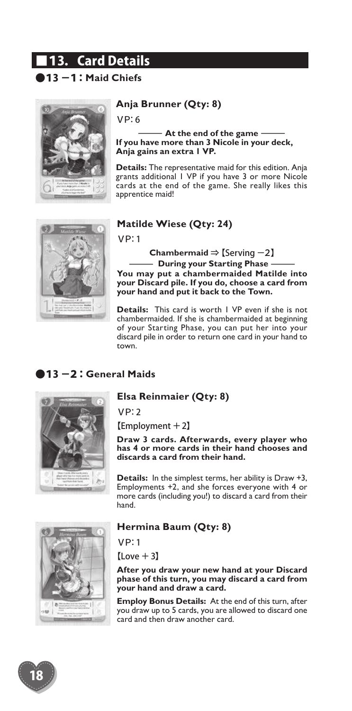## ■13. Card Details

## ●13 -1: **Maid Chiefs**



#### **Anja Brunner (Qty: 8)**

VP:6

fs<br>**a Brunner (Qty: 8)**<br>6<br>———— At the end of the game<br>**a** have more than 3 Nicole in your decl<br>gains an extra 1 VP. **If you have more than 3 Nicole in your deck, Anja gains an extra 1 VP.**

**Details:** The representative maid for this edition. Anja grants additional 1 VP if you have 3 or more Nicole cards at the end of the game. She really likes this apprentice maid!

#### **Matilde Wiese (Qty: 24)**

VP:1

**Chambermaid** ⇒【Serving -2】

atilde Wiese (Qty: 24)<br>P: 1<br>Chambermaid  $\Rightarrow$  [Serving -2]<br>—— During your Starting Phase ——<br>——<br>u may put a chambermaided Matilde in<br>ur Discard pile. If you do, choose a card fro **You may put a chambermaided Matilde into your Discard pile. If you do, choose a card from your hand and put it back to the Town.**

**Details:** This card is worth 1 VP even if she is not chambermaided. If she is chambermaided at beginning of your Starting Phase, you can put her into your discard pile in order to return one card in your hand to town.

#### ●13 -2: **General Maids**



#### **Elsa Reinmaier (Qty: 8)**

VP:2

【Employment +2】

**Draw 3 cards. Afterwards, every player who has 4 or more cards in their hand chooses and discards a card from their hand.**

**Details:** In the simplest terms, her ability is Draw +3, Employments +2, and she forces everyone with 4 or more cards (including you!) to discard a card from their hand.



#### **Hermina Baum (Qty: 8)**

VP:1

 $[Lower + 3]$ 

**After you draw your new hand at your Discard phase of this turn, you may discard a card from your hand and draw a card.**

**Employ Bonus Details:** At the end of this turn, after you draw up to 5 cards, you are allowed to discard one card and then draw another card.

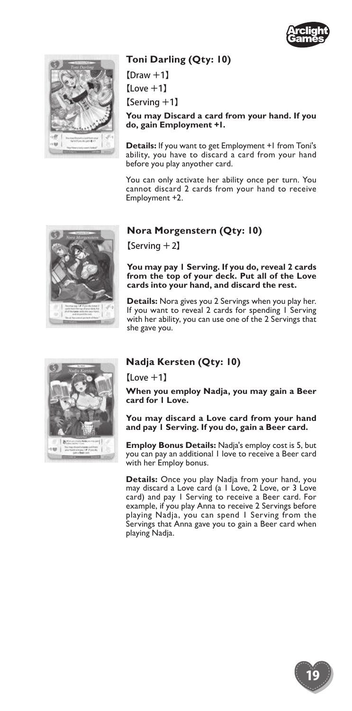

#### **Toni Darling (Qty: 10)**

【Draw +1】 【Love +1】 【Serving +1】

**You may Discard a card from your hand. If you do, gain Employment +1.**

**Details:** If you want to get Employment +1 from Toni's ability, you have to discard a card from your hand before you play anyother card.

You can only activate her ability once per turn. You cannot discard 2 cards from your hand to receive Employment +2.



#### **Nora Morgenstern (Qty: 10)**

【Serving +2】

**You may pay 1 Serving. If you do, reveal 2 cards from the top of your deck. Put all of the Love cards into your hand, and discard the rest.** 

**Details:** Nora gives you 2 Servings when you play her. If you want to reveal 2 cards for spending I Serving with her ability, you can use one of the 2 Servings that she gave you.



#### **Nadja Kersten (Qty: 10)**

【Love +1】

**When you employ Nadja, you may gain a Beer card for 1 Love.**

**You may discard a Love card from your hand and pay 1 Serving. If you do, gain a Beer card.**

**Employ Bonus Details:** Nadja's employ cost is 5, but you can pay an additional 1 love to receive a Beer card with her Employ bonus.

**Details:** Once you play Nadja from your hand, you may discard a Love card (a 1 Love, 2 Love, or 3 Love card) and pay 1 Serving to receive a Beer card. For example, if you play Anna to receive 2 Servings before playing Nadja, you can spend 1 Serving from the Servings that Anna gave you to gain a Beer card when playing Nadja.

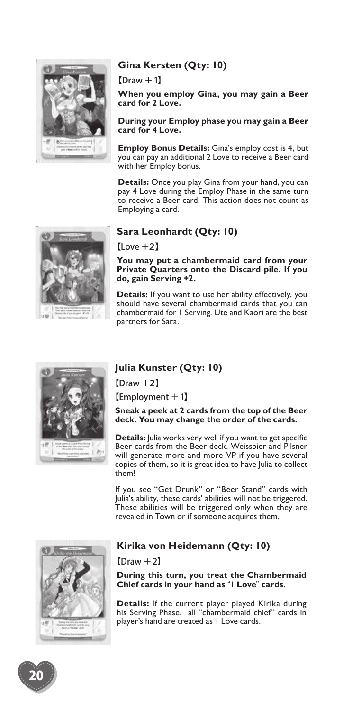

#### **Gina Kersten (Qty: 10)**

#### $[Draw +1]$

**When you employ Gina, you may gain a Beer card for 2 Love.**

**During your Employ phase you may gain a Beer card for 4 Love.**

**Employ Bonus Details:** Gina's employ cost is 4, but you can pay an additional 2 Love to receive a Beer card with her Employ bonus.

**Details:** Once you play Gina from your hand, you can pay 4 Love during the Employ Phase in the same turn to receive a Beer card. This action does not count as Employing a card.

## **Sara Leonhardt (Qty: 10)**

【Love +2】

**You may put a chambermaid card from your Private Quarters onto the Discard pile. If you do, gain Serving +2.**

**Details:** If you want to use her ability effectively, you should have several chambermaid cards that you can chambermaid for 1 Serving. Ute and Kaori are the best partners for Sara.

#### **Julia Kunster (Qty: 10)**

【Draw +2】

【Employment +1】

**Sneak a peek at 2 cards from the top of the Beer deck. You may change the order of the cards.**

**Details:** Julia works very well if you want to get specific Beer cards from the Beer deck. Weissbier and Pilsner will generate more and more VP if you have several copies of them, so it is great idea to have Julia to collect them!

If you see "Get Drunk" or "Beer Stand" cards with Julia's ability, these cards' abilities will not be triggered. These abilities will be triggered only when they are revealed in Town or if someone acquires them.



#### **Kirika von Heidemann (Qty: 10)**

 $[Draw +2]$ 

**During this turn, you treat the Chambermaid Chief cards in your hand as** "**1 Love**" **cards.**

**Details:** If the current player played Kirika during his Serving Phase, all "chambermaid chief" cards in player's hand are treated as 1 Love cards.





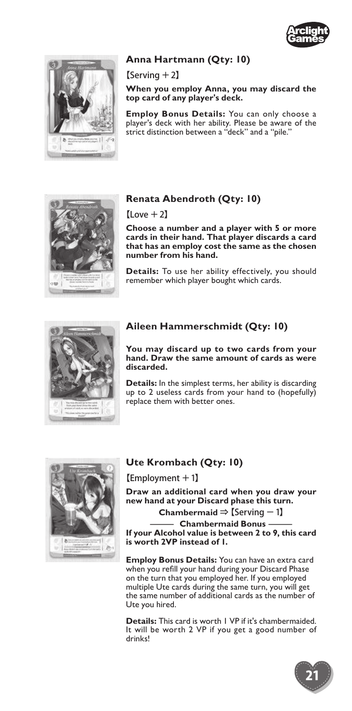



#### **Anna Hartmann (Qty: 10)**

【Serving +2】

**When you employ Anna, you may discard the top card of any player's deck.**

**Employ Bonus Details:** You can only choose a player's deck with her ability. Please be aware of the strict distinction between a "deck" and a "pile."



#### **Renata Abendroth (Qty: 10)**

 $[Lower + 2]$ 

**Choose a number and a player with 5 or more cards in their hand. That player discards a card that has an employ cost the same as the chosen number from his hand.**

**Details:** To use her ability effectively, you should remember which player bought which cards.



#### **Aileen Hammerschmidt (Qty: 10)**

**You may discard up to two cards from your hand. Draw the same amount of cards as were discarded.**

**Details:** In the simplest terms, her ability is discarding up to 2 useless cards from your hand to (hopefully) replace them with better ones.



#### **Ute Krombach (Qty: 10)**

【Employment +1】

**Draw an additional card when you draw your new hand at your Discard phase this turn.** For contract in (₹+). The contract of the state of the standard phase this turn.<br>
and at your Discard phase this turn.<br>
Chambermaid ⇒ [Serving − 1]<br>
<u>The contract of the contract and</u> Bonus<br>
The contract of the contract o

**Chambermaid** ⇒【Serving -1】

**If your Alcohol value is between 2 to 9, this card is worth 2VP instead of 1.**

**Employ Bonus Details:** You can have an extra card when you refill your hand during your Discard Phase on the turn that you employed her. If you employed multiple Ute cards during the same turn, you will get the same number of additional cards as the number of Ute you hired.

**Details:** This card is worth 1 VP if it's chambermaided. It will be worth 2 VP if you get a good number of drinks!

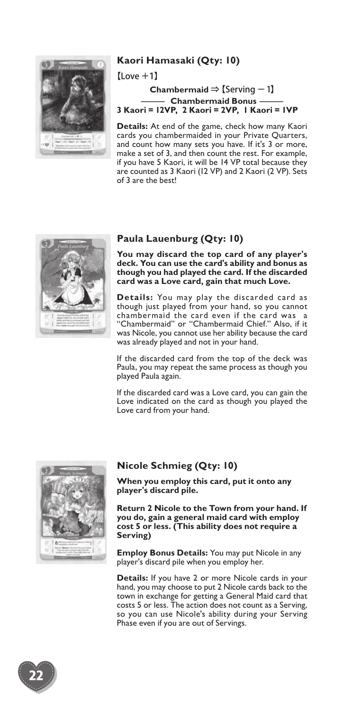

#### **Kaori Hamasaki (Qty: 10)**

 $[$ l ove  $+1]$ 

# **Chambermaid** ⇒【Serving -1】 **Fi Hamasaki (Qty: 10)**<br>
+ +1]<br>
Chambermaid ⇒ [Serving - 1]<br> **Chambermaid Bonus**<br> **Chambermaid Bonus**<br> **Chamber - 2YP, 1 Kaori = 1<br>
<b>Chamber - Chamber - Chamber**<br> **Chamber - Chamber - Chamber**<br> **Chamber - Chamber - Chambe 3 Kaori = 12VP, 2 Kaori = 2VP, 1 Kaori = 1VP**

**Details:** At end of the game, check how many Kaori cards you chambermaided in your Private Quarters, and count how many sets you have. If it's 3 or more, make a set of 3, and then count the rest. For example, if you have 5 Kaori, it will be 14 VP total because they are counted as 3 Kaori (12 VP) and 2 Kaori (2 VP). Sets of 3 are the best!



#### **Paula Lauenburg (Qty: 10)**

**You may discard the top card of any player's deck. You can use the card's ability and bonus as though you had played the card. If the discarded card was a Love card, gain that much Love.**

**Details:** You may play the discarded card as though just played from your hand, so you cannot chambermaid the card even if the card was a "Chambermaid" or "Chambermaid Chief." Also, if it was Nicole, you cannot use her ability because the card was already played and not in your hand.

If the discarded card from the top of the deck was Paula, you may repeat the same process as though you played Paula again.

If the discarded card was a Love card, you can gain the Love indicated on the card as though you played the Love card from your hand.



#### **Nicole Schmieg (Qty: 10)**

**When you employ this card, put it onto any player's discard pile.**

**Return 2 Nicole to the Town from your hand. If you do, gain a general maid card with employ cost 5 or less. (This ability does not require a Serving)**

**Employ Bonus Details:** You may put Nicole in any player's discard pile when you employ her.

**Details:** If you have 2 or more Nicole cards in your hand, you may choose to put 2 Nicole cards back to the town in exchange for getting a General Maid card that costs 5 or less. The action does not count as a Serving, so you can use Nicole's ability during your Serving Phase even if you are out of Servings.

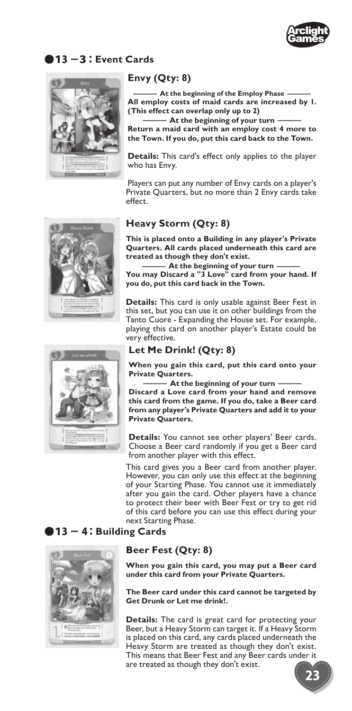

#### ●13 -3: **Event Cards**



#### **Envy (Qty: 8)**

**All employ costs of maid cards are increased by 1. Came:**<br> **At the beginning of the Employ Phase \_\_\_\_\_<br>
All employ costs of maid cards are increased by I<br>
This effect can overlap only up to 2)<br>**  $\frac{1}{2}$ **(This effect can overlap only up to 2) vy (Qty: 8)**<br>
— At the beginning of the Employ Phase —<br>
employ costs of maid cards are increased b<br>
is effect can overlap only up to 2)<br>
seffect can overlap only up to 2)<br>
urn a maid card with an employ cost 4 more<br>
Town.

**Return a maid card with an employ cost 4 more to the Town. If you do, put this card back to the Town.**

**Details:** This card's effect only applies to the player who has Envy.

Players can put any number of Envy cards on a player's Private Quarters, but no more than 2 Envy cards take effect.





#### **Heavy Storm (Qty: 8)**

**This is placed onto a Building in any player's Private Quarters. All cards placed underneath this card are treated as though they don't exist.** a**vy Storm (Qty: 8)**<br>
sis placed onto a Building in any player's Privaters.<br>
Rifferences All cards placed underneath this card<br>
ted as though they don't exist.<br>
At the beginning of your turn ———————————————————————————————

**You may Discard a "3 Love" card from your hand. If you do, put this card back in the Town.**

**Details:** This card is only usable against Beer Fest in this set, but you can use it on other buildings from the Tanto Cuore - Expanding the House set. For example, playing this card on another player's Estate could be very effective.

#### **Let Me Drink! (Qty: 8)**

**When you gain this card, put this card onto your Private Quarters.**

**Discard a Love card from your hand and remove**  ing this card on another player's Estate could<br>effective.<br> **t Me Drink!** (Qty: 8)<br>
hen you gain this card, put this card onto your<br>
stare Quarters.<br>
At the beginning of your turn ——<br>
card a Love card from your hand and rem **this card from the game. If you do, take a Beer card from any player's Private Quarters and add it to your Private Quarters.**

**Details:** You cannot see other players' Beer cards. Choose a Beer card randomly if you get a Beer card from another player with this effect.

This card gives you a Beer card from another player. However, you can only use this effect at the beginning of your Starting Phase. You cannot use it immediately after you gain the card. Other players have a chance to protect their beer with Beer Fest or try to get rid of this card before you can use this effect during your next Starting Phase.

#### ●13 - 4: **Building Cards**



#### **Beer Fest (Qty: 8)**

**When you gain this card, you may put a Beer card under this card from your Private Quarters.**

**The Beer card under this card cannot be targeted by Get Drunk or Let me drink!.**

**Details:** The card is great card for protecting your Beer, but a Heavy Storm can target it. If a Heavy Storm is placed on this card, any cards placed underneath the Heavy Storm are treated as though they don't exist. This means that Beer Fest and any Beer cards under it are treated as though they don't exist.

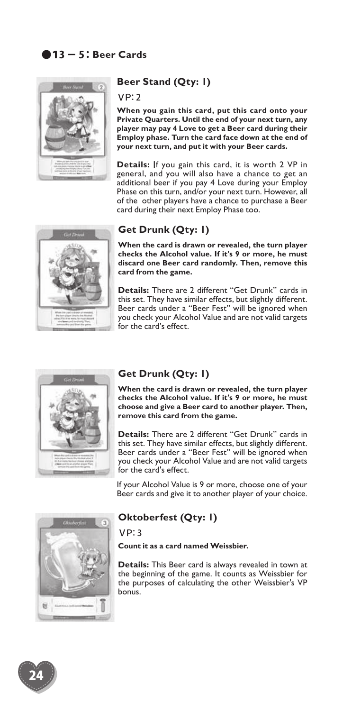

#### **Beer Stand (Qty: 1)**

#### VP:2

**When you gain this card, put this card onto your Private Quarters. Until the end of your next turn, any player may pay 4 Love to get a Beer card during their Employ phase. Turn the card face down at the end of your next turn, and put it with your Beer cards.**

**Details:** If you gain this card, it is worth 2 VP in general, and you will also have a chance to get an additional beer if you pay 4 Love during your Employ Phase on this turn, and/or your next turn. However, all of the other players have a chance to purchase a Beer card during their next Employ Phase too.



#### **Get Drunk (Qty: 1)**

**When the card is drawn or revealed, the turn player checks the Alcohol value. If it's 9 or more, he must discard one Beer card randomly. Then, remove this card from the game.**

**Details:** There are 2 different "Get Drunk" cards in this set. They have similar effects, but slightly different. Beer cards under a "Beer Fest" will be ignored when you check your Alcohol Value and are not valid targets for the card's effect.



#### **Get Drunk (Qty: 1)**

**When the card is drawn or revealed, the turn player checks the Alcohol value. If it's 9 or more, he must choose and give a Beer card to another player. Then, remove this card from the game.**

**Details:** There are 2 different "Get Drunk" cards in this set. They have similar effects, but slightly different. Beer cards under a "Beer Fest" will be ignored when you check your Alcohol Value and are not valid targets for the card's effect.

If your Alcohol Value is 9 or more, choose one of your Beer cards and give it to another player of your choice.



#### **Oktoberfest (Qty: 1)**

VP:3

**Count it as a card named Weissbier.**

**Details:** This Beer card is always revealed in town at the beginning of the game. It counts as Weissbier for the purposes of calculating the other Weissbier's VP bonus.

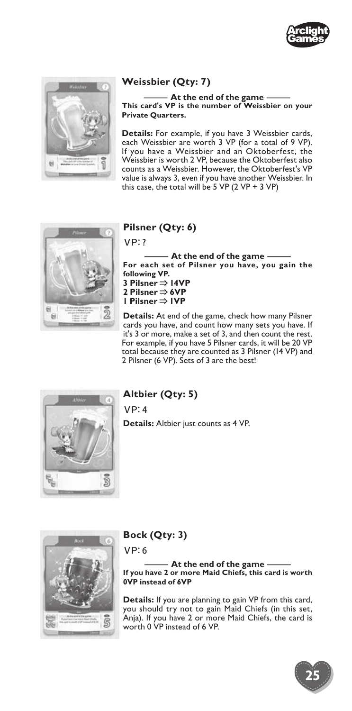



## **Weissbier (Qty: 7)**

**This card's VP is the number of Weissbier on your**  -**At the end of the game**-**Private Quarters.**

**Details:** For example, if you have 3 Weissbier cards, each Weissbier are worth 3 VP (for a total of 9 VP). If you have a Weissbier and an Oktoberfest, the Weissbier is worth 2 VP, because the Oktoberfest also counts as a Weissbier. However, the Oktoberfest's VP value is always 3, even if you have another Weissbier. In this case, the total will be 5 VP (2 VP + 3 VP)



#### **Pilsner (Qty: 6)**

VP:?

**For each set of Pilsner you have, you gain the**  -**At the end of the gamefollowing VP. 3 Pilsner** ⇒ **14VP 2 Pilsner** ⇒ **6VP 1 Pilsner** ⇒ **1VP**

**Details:** At end of the game, check how many Pilsner cards you have, and count how many sets you have. If it's 3 or more, make a set of 3, and then count the rest. For example, if you have 5 Pilsner cards, it will be 20 VP total because they are counted as 3 Pilsner (14 VP) and 2 Pilsner (6 VP). Sets of 3 are the best!



## **Altbier (Qty: 5)**

VP:4

**Details:** Altbier just counts as 4 VP.



### **Bock (Qty: 3)**

VP:6

**If you have 2 or more Maid Chiefs, this card is worth**  k (Qty: 3)<br>6<br>**-----** At the end of the game -------<br>In have 2 or more Maid Chiefs, this card is w<br>nstead of 6VP **0VP instead of 6VP**

**Details:** If you are planning to gain VP from this card, you should try not to gain Maid Chiefs (in this set, Anja). If you have 2 or more Maid Chiefs, the card is worth 0 VP instead of 6 VP.

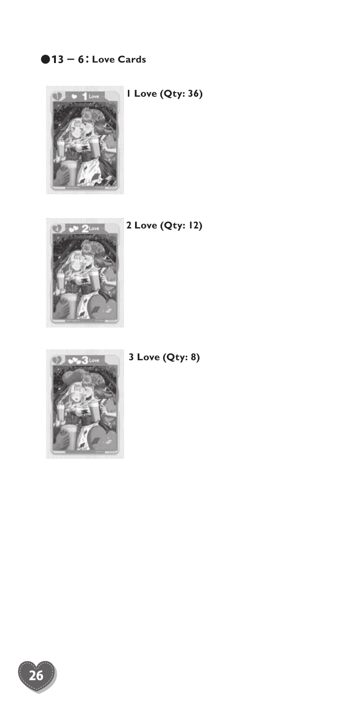## ●13 - 6: **Love Cards**



**1 Love (Qty: 36)**



**2 Love (Qty: 12)**



**3 Love (Qty: 8)**

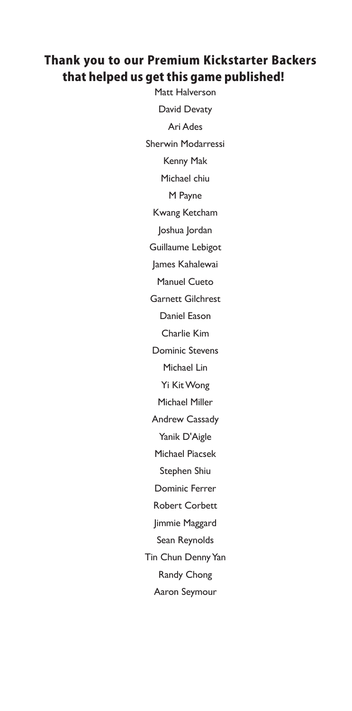## Thank you to our Premium Kickstarter Backers that helped us get this game published!

Matt Halverson David Devaty Ari Ades Sherwin Modarressi Kenny Mak Michael chiu M Payne Kwang Ketcham Joshua Jordan Guillaume Lebigot James Kahalewai Manuel Cueto Garnett Gilchrest Daniel Eason Charlie Kim Dominic Stevens Michael Lin Yi Kit Wong Michael Miller Andrew Cassady Yanik D'Aigle Michael Piacsek Stephen Shiu Dominic Ferrer Robert Corbett Jimmie Maggard Sean Reynolds Tin Chun Denny Yan Randy Chong Aaron Seymour